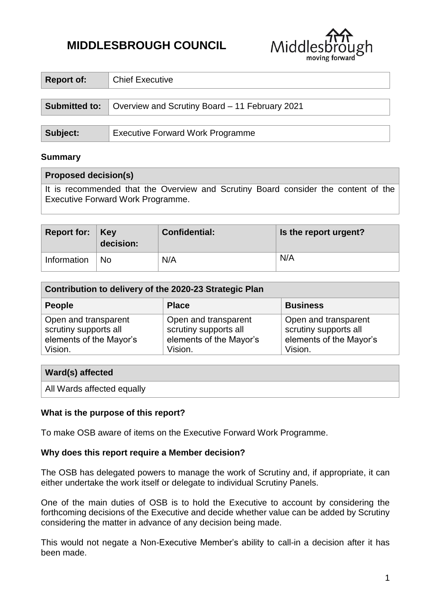# **MIDDLESBROUGH COUNCIL**



| Report of:    | <b>Chief Executive</b>                         |  |  |
|---------------|------------------------------------------------|--|--|
|               |                                                |  |  |
| Submitted to: | Overview and Scrutiny Board – 11 February 2021 |  |  |
|               |                                                |  |  |
| Subject:      | <b>Executive Forward Work Programme</b>        |  |  |

### **Summary**

#### **Proposed decision(s)**

It is recommended that the Overview and Scrutiny Board consider the content of the Executive Forward Work Programme.

| Report for: $Key$ | decision: | <b>Confidential:</b> | Is the report urgent? |
|-------------------|-----------|----------------------|-----------------------|
| Information       | <b>No</b> | N/A                  | N/A                   |

| Contribution to delivery of the 2020-23 Strategic Plan                              |                                                                                     |                                                                                     |  |  |  |  |
|-------------------------------------------------------------------------------------|-------------------------------------------------------------------------------------|-------------------------------------------------------------------------------------|--|--|--|--|
| <b>People</b>                                                                       | <b>Place</b>                                                                        | <b>Business</b>                                                                     |  |  |  |  |
| Open and transparent<br>scrutiny supports all<br>elements of the Mayor's<br>Vision. | Open and transparent<br>scrutiny supports all<br>elements of the Mayor's<br>Vision. | Open and transparent<br>scrutiny supports all<br>elements of the Mayor's<br>Vision. |  |  |  |  |

| <b>Ward(s) affected</b>    |  |
|----------------------------|--|
| All Wards affected equally |  |

#### **What is the purpose of this report?**

To make OSB aware of items on the Executive Forward Work Programme.

#### **Why does this report require a Member decision?**

The OSB has delegated powers to manage the work of Scrutiny and, if appropriate, it can either undertake the work itself or delegate to individual Scrutiny Panels.

One of the main duties of OSB is to hold the Executive to account by considering the forthcoming decisions of the Executive and decide whether value can be added by Scrutiny considering the matter in advance of any decision being made.

This would not negate a Non-Executive Member's ability to call-in a decision after it has been made.